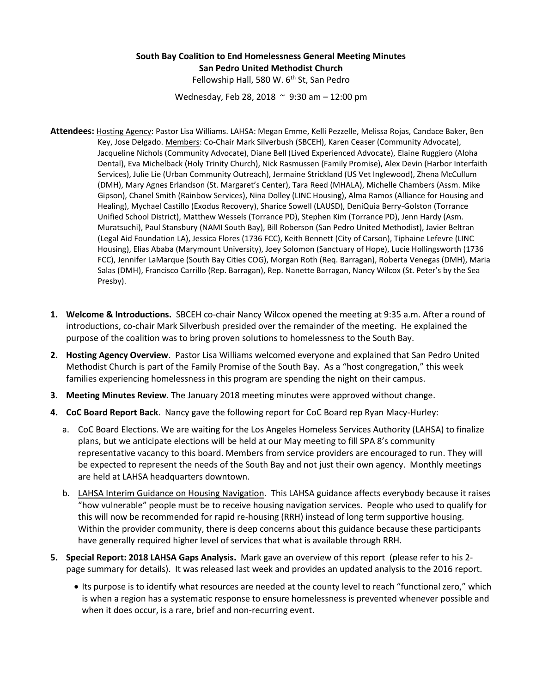## **South Bay Coalition to End Homelessness General Meeting Minutes San Pedro United Methodist Church**

Fellowship Hall, 580 W. 6<sup>th</sup> St, San Pedro

Wednesday, Feb 28, 2018 ~ 9:30 am – 12:00 pm

- **Attendees:** Hosting Agency: Pastor Lisa Williams. LAHSA: Megan Emme, Kelli Pezzelle, Melissa Rojas, Candace Baker, Ben Key, Jose Delgado. Members: Co-Chair Mark Silverbush (SBCEH), Karen Ceaser (Community Advocate), Jacqueline Nichols (Community Advocate), Diane Bell (Lived Experienced Advocate), Elaine Ruggiero (Aloha Dental), Eva Michelback (Holy Trinity Church), Nick Rasmussen (Family Promise), Alex Devin (Harbor Interfaith Services), Julie Lie (Urban Community Outreach), Jermaine Strickland (US Vet Inglewood), Zhena McCullum (DMH), Mary Agnes Erlandson (St. Margaret's Center), Tara Reed (MHALA), Michelle Chambers (Assm. Mike Gipson), Chanel Smith (Rainbow Services), Nina Dolley (LINC Housing), Alma Ramos (Alliance for Housing and Healing), Mychael Castillo (Exodus Recovery), Sharice Sowell (LAUSD), DeniQuia Berry-Golston (Torrance Unified School District), Matthew Wessels (Torrance PD), Stephen Kim (Torrance PD), Jenn Hardy (Asm. Muratsuchi), Paul Stansbury (NAMI South Bay), Bill Roberson (San Pedro United Methodist), Javier Beltran (Legal Aid Foundation LA), Jessica Flores (1736 FCC), Keith Bennett (City of Carson), Tiphaine Lefevre (LINC Housing), Elias Ababa (Marymount University), Joey Solomon (Sanctuary of Hope), Lucie Hollingsworth (1736 FCC), Jennifer LaMarque (South Bay Cities COG), Morgan Roth (Req. Barragan), Roberta Venegas (DMH), Maria Salas (DMH), Francisco Carrillo (Rep. Barragan), Rep. Nanette Barragan, Nancy Wilcox (St. Peter's by the Sea Presby).
- **1. Welcome & Introductions.** SBCEH co-chair Nancy Wilcox opened the meeting at 9:35 a.m. After a round of introductions, co-chair Mark Silverbush presided over the remainder of the meeting. He explained the purpose of the coalition was to bring proven solutions to homelessness to the South Bay.
- **2. Hosting Agency Overview**. Pastor Lisa Williams welcomed everyone and explained that San Pedro United Methodist Church is part of the Family Promise of the South Bay. As a "host congregation," this week families experiencing homelessness in this program are spending the night on their campus.
- **3**. **Meeting Minutes Review**. The January 2018 meeting minutes were approved without change.
- **4. CoC Board Report Back**. Nancy gave the following report for CoC Board rep Ryan Macy-Hurley:
	- a. CoC Board Elections. We are waiting for the Los Angeles Homeless Services Authority (LAHSA) to finalize plans, but we anticipate elections will be held at our May meeting to fill SPA 8's community representative vacancy to this board. Members from service providers are encouraged to run. They will be expected to represent the needs of the South Bay and not just their own agency. Monthly meetings are held at LAHSA headquarters downtown.
	- b. LAHSA Interim Guidance on Housing Navigation. This LAHSA guidance affects everybody because it raises "how vulnerable" people must be to receive housing navigation services. People who used to qualify for this will now be recommended for rapid re-housing (RRH) instead of long term supportive housing. Within the provider community, there is deep concerns about this guidance because these participants have generally required higher level of services that what is available through RRH.
- **5. Special Report: 2018 LAHSA Gaps Analysis.** Mark gave an overview of this report (please refer to his 2 page summary for details). It was released last week and provides an updated analysis to the 2016 report.
	- Its purpose is to identify what resources are needed at the county level to reach "functional zero," which is when a region has a systematic response to ensure homelessness is prevented whenever possible and when it does occur, is a rare, brief and non-recurring event.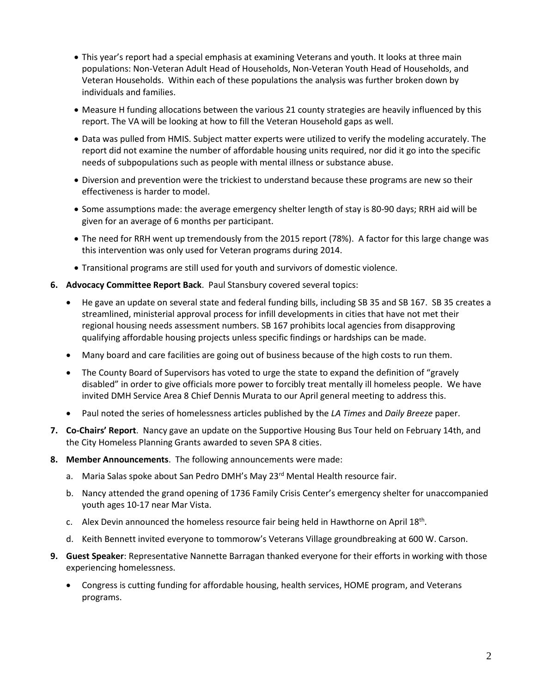- This year's report had a special emphasis at examining Veterans and youth. It looks at three main populations: Non-Veteran Adult Head of Households, Non-Veteran Youth Head of Households, and Veteran Households. Within each of these populations the analysis was further broken down by individuals and families.
- Measure H funding allocations between the various 21 county strategies are heavily influenced by this report. The VA will be looking at how to fill the Veteran Household gaps as well.
- Data was pulled from HMIS. Subject matter experts were utilized to verify the modeling accurately. The report did not examine the number of affordable housing units required, nor did it go into the specific needs of subpopulations such as people with mental illness or substance abuse.
- Diversion and prevention were the trickiest to understand because these programs are new so their effectiveness is harder to model.
- Some assumptions made: the average emergency shelter length of stay is 80-90 days; RRH aid will be given for an average of 6 months per participant.
- The need for RRH went up tremendously from the 2015 report (78%). A factor for this large change was this intervention was only used for Veteran programs during 2014.
- Transitional programs are still used for youth and survivors of domestic violence.
- **6. Advocacy Committee Report Back**. Paul Stansbury covered several topics:
	- He gave an update on several state and federal funding bills, including SB 35 and SB 167. SB 35 creates a streamlined, ministerial approval process for infill developments in cities that have not met their regional housing needs assessment numbers. SB 167 prohibits local agencies from disapproving qualifying affordable housing projects unless specific findings or hardships can be made.
	- Many board and care facilities are going out of business because of the high costs to run them.
	- The County Board of Supervisors has voted to urge the state to expand the definition of "gravely" disabled" in order to give officials more power to forcibly treat mentally ill homeless people. We have invited DMH Service Area 8 Chief Dennis Murata to our April general meeting to address this.
	- Paul noted the series of homelessness articles published by the *LA Times* and *Daily Breeze* paper.
- **7. Co-Chairs' Report**. Nancy gave an update on the Supportive Housing Bus Tour held on February 14th, and the City Homeless Planning Grants awarded to seven SPA 8 cities.
- **8. Member Announcements**. The following announcements were made:
	- a. Maria Salas spoke about San Pedro DMH's May 23<sup>rd</sup> Mental Health resource fair.
	- b. Nancy attended the grand opening of 1736 Family Crisis Center's emergency shelter for unaccompanied youth ages 10-17 near Mar Vista.
	- c. Alex Devin announced the homeless resource fair being held in Hawthorne on April  $18<sup>th</sup>$ .
	- d. Keith Bennett invited everyone to tommorow's Veterans Village groundbreaking at 600 W. Carson.
- **9. Guest Speaker**: Representative Nannette Barragan thanked everyone for their efforts in working with those experiencing homelessness.
	- Congress is cutting funding for affordable housing, health services, HOME program, and Veterans programs.